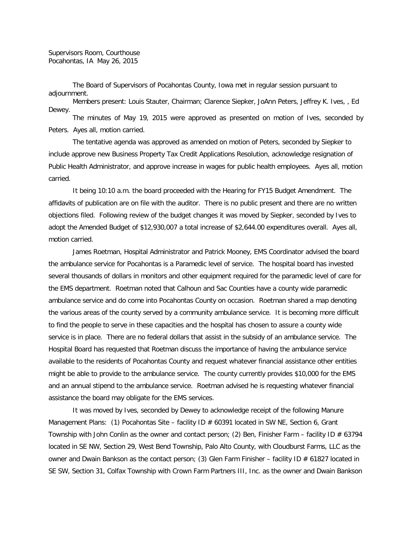The Board of Supervisors of Pocahontas County, Iowa met in regular session pursuant to adjournment.

Members present: Louis Stauter, Chairman; Clarence Siepker, JoAnn Peters, Jeffrey K. Ives, , Ed Dewey. The minutes of May 19, 2015 were approved as presented on motion of Ives, seconded by

Peters. Ayes all, motion carried.

The tentative agenda was approved as amended on motion of Peters, seconded by Siepker to include approve new Business Property Tax Credit Applications Resolution, acknowledge resignation of Public Health Administrator, and approve increase in wages for public health employees. Ayes all, motion carried.

It being 10:10 a.m. the board proceeded with the Hearing for FY15 Budget Amendment. The affidavits of publication are on file with the auditor. There is no public present and there are no written objections filed. Following review of the budget changes it was moved by Siepker, seconded by Ives to adopt the Amended Budget of \$12,930,007 a total increase of \$2,644.00 expenditures overall. Ayes all, motion carried.

James Roetman, Hospital Administrator and Patrick Mooney, EMS Coordinator advised the board the ambulance service for Pocahontas is a Paramedic level of service. The hospital board has invested several thousands of dollars in monitors and other equipment required for the paramedic level of care for the EMS department. Roetman noted that Calhoun and Sac Counties have a county wide paramedic ambulance service and do come into Pocahontas County on occasion. Roetman shared a map denoting the various areas of the county served by a community ambulance service. It is becoming more difficult to find the people to serve in these capacities and the hospital has chosen to assure a county wide service is in place. There are no federal dollars that assist in the subsidy of an ambulance service. The Hospital Board has requested that Roetman discuss the importance of having the ambulance service available to the residents of Pocahontas County and request whatever financial assistance other entities might be able to provide to the ambulance service. The county currently provides \$10,000 for the EMS and an annual stipend to the ambulance service. Roetman advised he is requesting whatever financial assistance the board may obligate for the EMS services.

It was moved by Ives, seconded by Dewey to acknowledge receipt of the following Manure Management Plans: (1) Pocahontas Site – facility ID # 60391 located in SW NE, Section 6, Grant Township with John Conlin as the owner and contact person; (2) Ben, Finisher Farm – facility ID # 63794 located in SE NW, Section 29, West Bend Township, Palo Alto County, with Cloudburst Farms, LLC as the owner and Dwain Bankson as the contact person; (3) Glen Farm Finisher - facility ID # 61827 located in SE SW, Section 31, Colfax Township with Crown Farm Partners III, Inc. as the owner and Dwain Bankson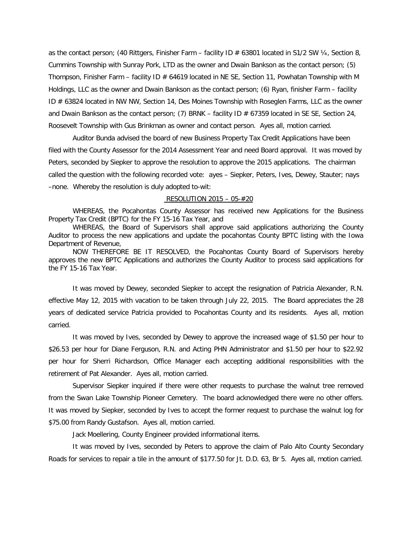as the contact person; (40 Rittgers, Finisher Farm – facility ID  $\#$  63801 located in S1/2 SW  $\frac{1}{2}$ , Section 8, Cummins Township with Sunray Pork, LTD as the owner and Dwain Bankson as the contact person; (5) Thompson, Finisher Farm - facility ID # 64619 located in NE SE, Section 11, Powhatan Township with M Holdings, LLC as the owner and Dwain Bankson as the contact person; (6) Ryan, finisher Farm – facility ID # 63824 located in NW NW, Section 14, Des Moines Township with Roseglen Farms, LLC as the owner and Dwain Bankson as the contact person; (7) BRNK – facility ID  $\#$  67359 located in SE SE, Section 24, Roosevelt Township with Gus Brinkman as owner and contact person. Ayes all, motion carried.

Auditor Bunda advised the board of new Business Property Tax Credit Applications have been filed with the County Assessor for the 2014 Assessment Year and need Board approval. It was moved by Peters, seconded by Siepker to approve the resolution to approve the 2015 applications. The chairman called the question with the following recorded vote: ayes – Siepker, Peters, Ives, Dewey, Stauter; nays –none. Whereby the resolution is duly adopted to-wit:

## RESOLUTION 2015 – 05-#20

WHEREAS, the Pocahontas County Assessor has received new Applications for the Business Property Tax Credit (BPTC) for the FY 15-16 Tax Year, and

WHEREAS, the Board of Supervisors shall approve said applications authorizing the County Auditor to process the new applications and update the pocahontas County BPTC listing with the Iowa Department of Revenue,

NOW THEREFORE BE IT RESOLVED, the Pocahontas County Board of Supervisors hereby approves the new BPTC Applications and authorizes the County Auditor to process said applications for the FY 15-16 Tax Year.

It was moved by Dewey, seconded Siepker to accept the resignation of Patricia Alexander, R.N. effective May 12, 2015 with vacation to be taken through July 22, 2015. The Board appreciates the 28 years of dedicated service Patricia provided to Pocahontas County and its residents. Ayes all, motion carried.

It was moved by Ives, seconded by Dewey to approve the increased wage of \$1.50 per hour to \$26.53 per hour for Diane Ferguson, R.N. and Acting PHN Administrator and \$1.50 per hour to \$22.92 per hour for Sherri Richardson, Office Manager each accepting additional responsibilities with the retirement of Pat Alexander. Ayes all, motion carried.

Supervisor Siepker inquired if there were other requests to purchase the walnut tree removed from the Swan Lake Township Pioneer Cemetery. The board acknowledged there were no other offers. It was moved by Siepker, seconded by Ives to accept the former request to purchase the walnut log for \$75.00 from Randy Gustafson. Ayes all, motion carried.

Jack Moellering, County Engineer provided informational items.

It was moved by Ives, seconded by Peters to approve the claim of Palo Alto County Secondary Roads for services to repair a tile in the amount of \$177.50 for Jt. D.D. 63, Br 5. Ayes all, motion carried.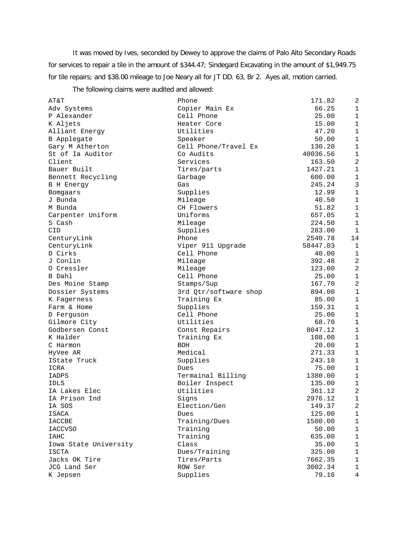It was moved by Ives, seconded by Dewey to approve the claims of Palo Alto Secondary Roads for services to repair a tile in the amount of \$344.47; Sindegard Excavating in the amount of \$1,949.75 for tile repairs; and \$38.00 mileage to Joe Neary all for JT DD. 63, Br 2. Ayes all, motion carried.

The following claims were audited and allowed:

| AT&T                  | Phone                       | 171.82   | 2              |
|-----------------------|-----------------------------|----------|----------------|
| Adv Systems           | Copier Main Ex              | 66.25    | $\mathbf{1}$   |
| P Alexander           | Cell Phone                  | 25.00    | $\mathbf{1}$   |
| K Aljets              | Heater Core                 | 15.00    | $\mathbf{1}$   |
| Alliant Energy        | Utilities                   | 47.20    | $\mathbf 1$    |
| B Applegate           | Speaker                     | 50.00    | $\mathbf 1$    |
| Gary M Atherton       | Cell Phone/Travel Ex        | 130.20   | $\mathbf 1$    |
| St of Ia Auditor      | Co Audits                   | 40036.56 | $\mathbf 1$    |
| Client                | Services                    | 163.50   | $\overline{a}$ |
| Bauer Built           | Tires/parts                 | 1427.21  | $\mathbf{1}$   |
| Bennett Recycling     | Garbage                     | 600.00   | $\mathbf{1}$   |
| B H Energy            | Gas                         | 245.24   | $\mathbf{3}$   |
| Bomgaars              | Supplies                    | 12.99    | $\mathbf 1$    |
| J Bunda               | Mileage                     | 40.50    | $\mathbf 1$    |
| M Bunda               | CH Flowers                  | 51.82    | $\mathbf{1}$   |
| Carpenter Uniform     | Uniforms                    | 657.05   | $\mathbf 1$    |
| S Cash                | Mileage                     | 224.50   | $\mathbf{1}$   |
| CID                   | Supplies                    | 283.00   | $\mathbf{1}$   |
| CenturyLink           | Phone                       | 2540.78  | 14             |
| CenturyLink           | Viper 911 Upgrade           | 58447.03 | $\mathbf{1}$   |
| D Cirks               | Cell Phone                  | 40.00    | $\mathbf 1$    |
| J Conlin              | Mileage                     | 392.48   | $\overline{2}$ |
| O Cressler            | Mileage                     | 123.00   | $\overline{a}$ |
| <b>B</b> Dahl         | Cell Phone                  | 25.00    | $\mathbf 1$    |
| Des Moine Stamp       | Stamps/Sup                  | 167.70   | $\overline{a}$ |
| Dossier Systems       | 3rd Qtr/software shop       | 894.00   | $1\,$          |
| K Fagerness           | Training Ex                 | 85.00    | $1\,$          |
| Farm & Home           | Supplies                    | 159.31   | $\mathbf 1$    |
| D Ferguson            | Cell Phone                  | 25.00    | $\mathbf{1}$   |
| Gilmore City          | Utilities                   | 68.70    | $1\,$          |
| Godbersen Const       | Const Repairs               | 8047.12  | $\mathbf 1$    |
| K Halder              | Training Ex                 | 108.00   | $\mathbf{1}$   |
| C Harmon              | <b>BOH</b>                  | 20.00    | $\mathbf{1}$   |
| HyVee AR              | Medical                     | 271.33   | $\mathbf{1}$   |
| IState Truck          |                             | 243.10   | $1\,$          |
| ICRA                  | Supplies<br>Dues            | 75.00    | $1\,$          |
| IADPS                 | Termainal Billing           | 1380.00  | $\mathbf 1$    |
| <b>IDLS</b>           |                             | 135.00   | $1\,$          |
| IA Lakes Elec         | Boiler Inspect<br>Utilities | 361.12   | $\overline{a}$ |
|                       |                             |          | $\mathbf{1}$   |
| IA Prison Ind         | Signs                       | 2976.12  |                |
| IA SOS                | Election/Gen                | 149.37   | 2              |
| ISACA                 | Dues                        | 125.00   | $1\,$          |
| <b>IACCBE</b>         | Training/Dues               | 1500.00  | $\mathbf 1$    |
| <b>IACCVSO</b>        | Training                    | 50.00    | $\mathbf 1$    |
| IAHC                  | Training                    | 635.00   | $\mathbf 1$    |
| Iowa State University | Class                       | 35.00    | $\mathbf 1$    |
| <b>ISCTA</b>          | Dues/Training               | 325.00   | $1\,$          |
| Jacks OK Tire         | Tires/Parts                 | 7662.35  | $\mathbf{1}$   |
| JCG Land Ser          | ROW Ser                     | 3002.34  | $\mathbf{1}$   |
| K Jepsen              | Supplies                    | 79.16    | 4              |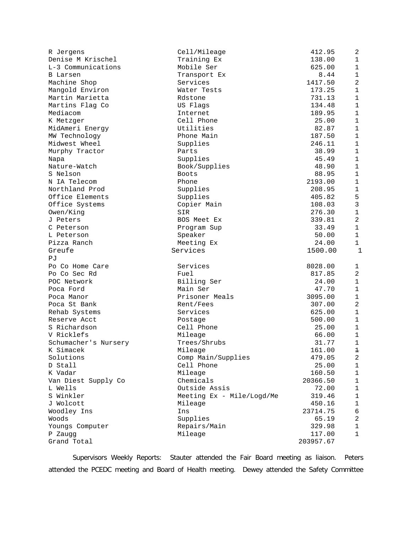| R Jergens              | Cell/Mileage              | 412.95              | 2                   |
|------------------------|---------------------------|---------------------|---------------------|
| Denise M Krischel      | Training Ex               | 138.00              | $\mathbf{1}$        |
| L-3 Communications     | Mobile Ser                | 625.00              | $\mathbf{1}$        |
| <b>B</b> Larsen        | Transport Ex              | 8.44                | $\mathbf 1$         |
| Machine Shop           | Services                  | 1417.50             | 2                   |
| Mangold Environ        | Water Tests               | 173.25              | $\mathbf 1$         |
| Martin Marietta        | Rdstone                   | 731.13              | $\mathbf 1$         |
| Martins Flag Co        | US Flags                  | 134.48              | $\mathbf 1$         |
| Mediacom               | Internet                  | 189.95              | $\mathbf{1}$        |
| K Metzger              | Cell Phone                | 25.00               | $\mathbf{1}$        |
| MidAmeri Energy        | Utilities                 | 82.87               | $\mathbf{1}$        |
| MW Technology          | Phone Main                | 187.50              | $\mathbf{1}$        |
| Midwest Wheel          | Supplies                  | 246.11              | $\mathbf{1}$        |
| Murphy Tractor         | Parts                     | 38.99               | $\mathbf{1}$        |
| Napa                   | Supplies                  | 45.49               | $\mathbf 1$         |
| Nature-Watch           | Book/Supplies             | 48.90               | $\mathbf 1$         |
| S Nelson               | <b>Boots</b>              | 88.95               | $\mathbf 1$         |
| N IA Telecom           | Phone                     | 2193.00             | $\mathbf{1}$        |
| Northland Prod         | Supplies                  | 208.95              | $\mathbf{1}$        |
| Office Elements        | Supplies                  | 405.82              | 5                   |
| Office Systems         | Copier Main               | 108.03              | $\mathbf{3}$        |
| Owen/King              | SIR                       | 276.30              | $\mathbf 1$         |
| J Peters               | BOS Meet Ex               | 339.81              | 2                   |
| C Peterson             | Program Sup               | 33.49               | $\mathbf{1}$        |
| L Peterson             | Speaker                   | 50.00               | $\mathbf{1}$        |
| Pizza Ranch            | Meeting Ex                | 24.00               | $\mathbf{1}$        |
| Greufe                 | Services                  | 1500.00             | $\mathbf{1}$        |
| РJ                     |                           |                     |                     |
| Po Co Home Care        | Services                  | 8028.00             |                     |
| Po Co Sec Rd           | Fuel                      | 817.85              | 1<br>$\overline{a}$ |
| POC Network            | Billing Ser               | 24.00               | $\mathbf{1}$        |
| Poca Ford              | Main Ser                  | 47.70               | $\mathbf 1$         |
| Poca Manor             | Prisoner Meals            | 3095.00             | $\mathbf 1$         |
| Poca St Bank           | Rent/Fees                 | 307.00              | 2                   |
| Rehab Systems          | Services                  | 625.00              | $\mathbf 1$         |
| Reserve Acct           |                           |                     | $\mathbf{1}$        |
| S Richardson           | Postage                   | 500.00              | $\mathbf{1}$        |
| V Ricklefs             | Cell Phone                | 25.00               | $\mathbf{1}$        |
|                        | Mileage                   | 66.00               |                     |
| Schumacher's Nursery   | Trees/Shrubs<br>Mileage   | 31.77<br>161.00     | $\mathbf{1}$        |
| K Simacek<br>Solutions |                           |                     | $\mathbf 1$         |
|                        |                           |                     |                     |
|                        | Comp Main/Supplies        | 479.05              | 2                   |
| D Stall                | Cell Phone                | 25.00               | 1                   |
| K Vadar                | Mileage                   | 160.50              | 1                   |
| Van Diest Supply Co    | Chemicals                 | 20366.50            | 1                   |
| L Wells                | Outside Assis             | 72.00               | 1                   |
| S Winkler              | Meeting Ex - Mile/Logd/Me | 319.46              | 1                   |
| J Wolcott              | Mileage                   | 450.16              | $\mathbf{1}$        |
| Woodley Ins            | Ins                       | 23714.75            | 6                   |
| Woods                  | Supplies                  | 65.19               | 2                   |
| Youngs Computer        | Repairs/Main              | 329.98              | $\mathbf{1}$        |
| P Zaugg<br>Grand Total | Mileage                   | 117.00<br>203957.67 | 1                   |

Supervisors Weekly Reports: Stauter attended the Fair Board meeting as liaison. Peters attended the PCEDC meeting and Board of Health meeting. Dewey attended the Safety Committee